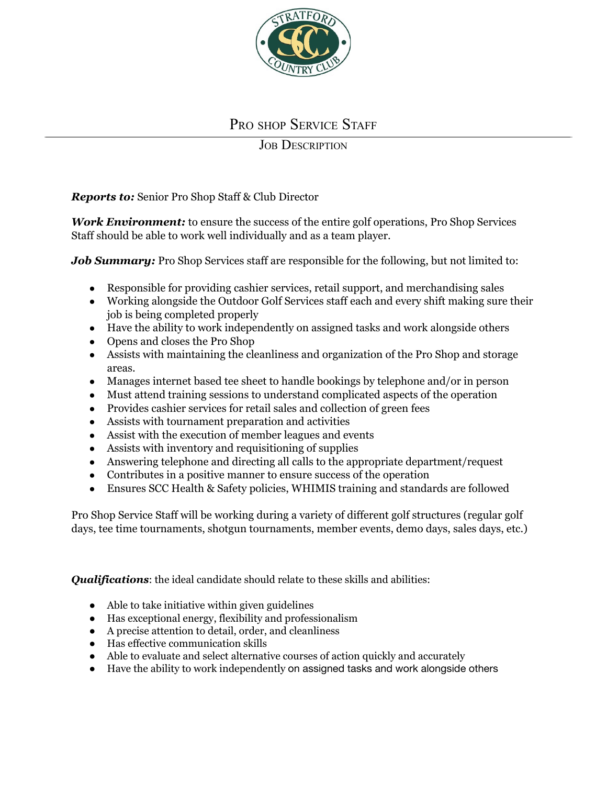

## PRO SHOP SERVICE STAFF

## **JOB DESCRIPTION**

*Reports to:* Senior Pro Shop Staff & Club Director

*Work Environment:* to ensure the success of the entire golf operations, Pro Shop Services Staff should be able to work well individually and as a team player.

*Job Summary:* Pro Shop Services staff are responsible for the following, but not limited to:

- Responsible for providing cashier services, retail support, and merchandising sales
- Working alongside the Outdoor Golf Services staff each and every shift making sure their job is being completed properly
- Have the ability to work independently on assigned tasks and work alongside others
- Opens and closes the Pro Shop
- Assists with maintaining the cleanliness and organization of the Pro Shop and storage areas.
- Manages internet based tee sheet to handle bookings by telephone and/or in person
- Must attend training sessions to understand complicated aspects of the operation
- Provides cashier services for retail sales and collection of green fees
- Assists with tournament preparation and activities
- Assist with the execution of member leagues and events
- Assists with inventory and requisitioning of supplies
- Answering telephone and directing all calls to the appropriate department/request
- Contributes in a positive manner to ensure success of the operation
- Ensures SCC Health & Safety policies, WHIMIS training and standards are followed

Pro Shop Service Staff will be working during a variety of different golf structures (regular golf days, tee time tournaments, shotgun tournaments, member events, demo days, sales days, etc.)

*Qualifications:* the ideal candidate should relate to these skills and abilities:

- Able to take initiative within given guidelines
- Has exceptional energy, flexibility and professionalism
- A precise attention to detail, order, and cleanliness
- Has effective communication skills
- Able to evaluate and select alternative courses of action quickly and accurately
- Have the ability to work independently on assigned tasks and work alongside others